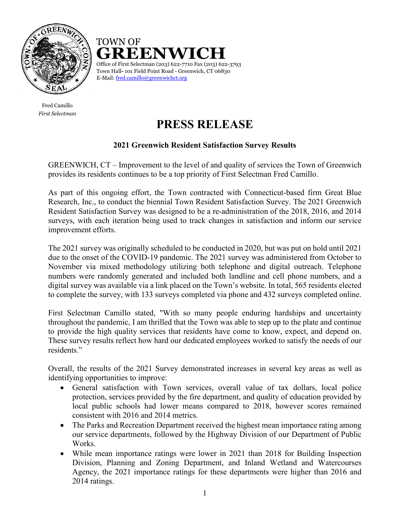

Fred Camillo *First Selectman*

## **GREENWICH**<br>Office of First Selectman (203) 622-7710 Fax (203) 622-3793 Town Hall**-** 101 Field Point Road - Greenwich, CT 06830 E-Mail: [fred.camillo@greenwichct.org](mailto:fred.camillo@greenwichct.org) TOWN OF

# **PRESS RELEASE**

### **2021 Greenwich Resident Satisfaction Survey Results**

GREENWICH, CT – Improvement to the level of and quality of services the Town of Greenwich provides its residents continues to be a top priority of First Selectman Fred Camillo.

As part of this ongoing effort, the Town contracted with Connecticut-based firm Great Blue Research, Inc., to conduct the biennial Town Resident Satisfaction Survey. The 2021 Greenwich Resident Satisfaction Survey was designed to be a re-administration of the 2018, 2016, and 2014 surveys, with each iteration being used to track changes in satisfaction and inform our service improvement efforts.

The 2021 survey was originally scheduled to be conducted in 2020, but was put on hold until 2021 due to the onset of the COVID-19 pandemic. The 2021 survey was administered from October to November via mixed methodology utilizing both telephone and digital outreach. Telephone numbers were randomly generated and included both landline and cell phone numbers, and a digital survey was available via a link placed on the Town's website. In total, 565 residents elected to complete the survey, with 133 surveys completed via phone and 432 surveys completed online.

First Selectman Camillo stated, "With so many people enduring hardships and uncertainty throughout the pandemic, I am thrilled that the Town was able to step up to the plate and continue to provide the high quality services that residents have come to know, expect, and depend on. These survey results reflect how hard our dedicated employees worked to satisfy the needs of our residents."

Overall, the results of the 2021 Survey demonstrated increases in several key areas as well as identifying opportunities to improve:

- General satisfaction with Town services, overall value of tax dollars, local police protection, services provided by the fire department, and quality of education provided by local public schools had lower means compared to 2018, however scores remained consistent with 2016 and 2014 metrics.
- The Parks and Recreation Department received the highest mean importance rating among our service departments, followed by the Highway Division of our Department of Public Works.
- While mean importance ratings were lower in 2021 than 2018 for Building Inspection Division, Planning and Zoning Department, and Inland Wetland and Watercourses Agency, the 2021 importance ratings for these departments were higher than 2016 and 2014 ratings.